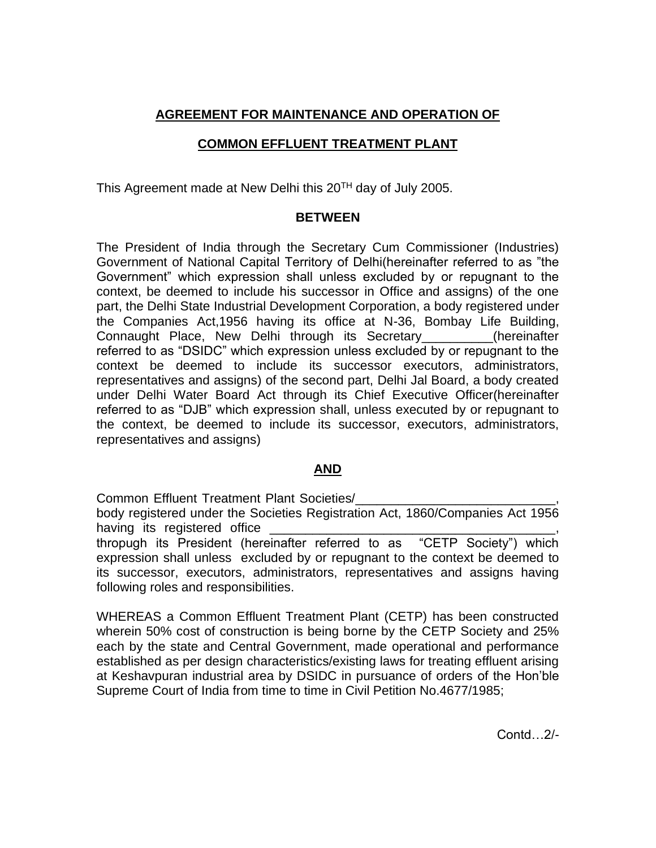# **AGREEMENT FOR MAINTENANCE AND OPERATION OF**

## **COMMON EFFLUENT TREATMENT PLANT**

This Agreement made at New Delhi this 20<sup>TH</sup> day of July 2005.

#### **BETWEEN**

The President of India through the Secretary Cum Commissioner (Industries) Government of National Capital Territory of Delhi(hereinafter referred to as "the Government" which expression shall unless excluded by or repugnant to the context, be deemed to include his successor in Office and assigns) of the one part, the Delhi State Industrial Development Corporation, a body registered under the Companies Act,1956 having its office at N-36, Bombay Life Building, Connaught Place, New Delhi through its Secretary\_\_\_\_\_\_\_\_\_\_(hereinafter referred to as "DSIDC" which expression unless excluded by or repugnant to the context be deemed to include its successor executors, administrators, representatives and assigns) of the second part, Delhi Jal Board, a body created under Delhi Water Board Act through its Chief Executive Officer(hereinafter referred to as "DJB" which expression shall, unless executed by or repugnant to the context, be deemed to include its successor, executors, administrators, representatives and assigns)

## **AND**

Common Effluent Treatment Plant Societies/\_\_\_\_\_\_\_\_\_\_\_\_\_\_\_\_\_\_\_\_\_\_\_\_\_\_\_\_,

body registered under the Societies Registration Act, 1860/Companies Act 1956 having its registered office

thropugh its President (hereinafter referred to as "CETP Society") which expression shall unless excluded by or repugnant to the context be deemed to its successor, executors, administrators, representatives and assigns having following roles and responsibilities.

WHEREAS a Common Effluent Treatment Plant (CETP) has been constructed wherein 50% cost of construction is being borne by the CETP Society and 25% each by the state and Central Government, made operational and performance established as per design characteristics/existing laws for treating effluent arising at Keshavpuran industrial area by DSIDC in pursuance of orders of the Hon'ble Supreme Court of India from time to time in Civil Petition No.4677/1985;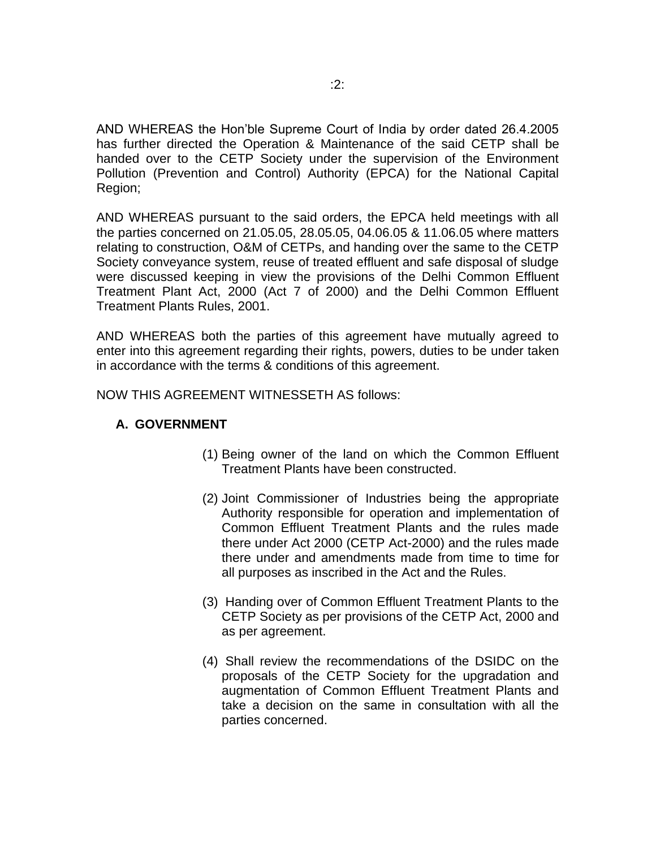AND WHEREAS the Hon'ble Supreme Court of India by order dated 26.4.2005 has further directed the Operation & Maintenance of the said CETP shall be handed over to the CETP Society under the supervision of the Environment Pollution (Prevention and Control) Authority (EPCA) for the National Capital Region;

AND WHEREAS pursuant to the said orders, the EPCA held meetings with all the parties concerned on 21.05.05, 28.05.05, 04.06.05 & 11.06.05 where matters relating to construction, O&M of CETPs, and handing over the same to the CETP Society conveyance system, reuse of treated effluent and safe disposal of sludge were discussed keeping in view the provisions of the Delhi Common Effluent Treatment Plant Act, 2000 (Act 7 of 2000) and the Delhi Common Effluent Treatment Plants Rules, 2001.

AND WHEREAS both the parties of this agreement have mutually agreed to enter into this agreement regarding their rights, powers, duties to be under taken in accordance with the terms & conditions of this agreement.

NOW THIS AGREEMENT WITNESSETH AS follows:

### **A. GOVERNMENT**

- (1) Being owner of the land on which the Common Effluent Treatment Plants have been constructed.
- (2) Joint Commissioner of Industries being the appropriate Authority responsible for operation and implementation of Common Effluent Treatment Plants and the rules made there under Act 2000 (CETP Act-2000) and the rules made there under and amendments made from time to time for all purposes as inscribed in the Act and the Rules.
- (3) Handing over of Common Effluent Treatment Plants to the CETP Society as per provisions of the CETP Act, 2000 and as per agreement.
- (4) Shall review the recommendations of the DSIDC on the proposals of the CETP Society for the upgradation and augmentation of Common Effluent Treatment Plants and take a decision on the same in consultation with all the parties concerned.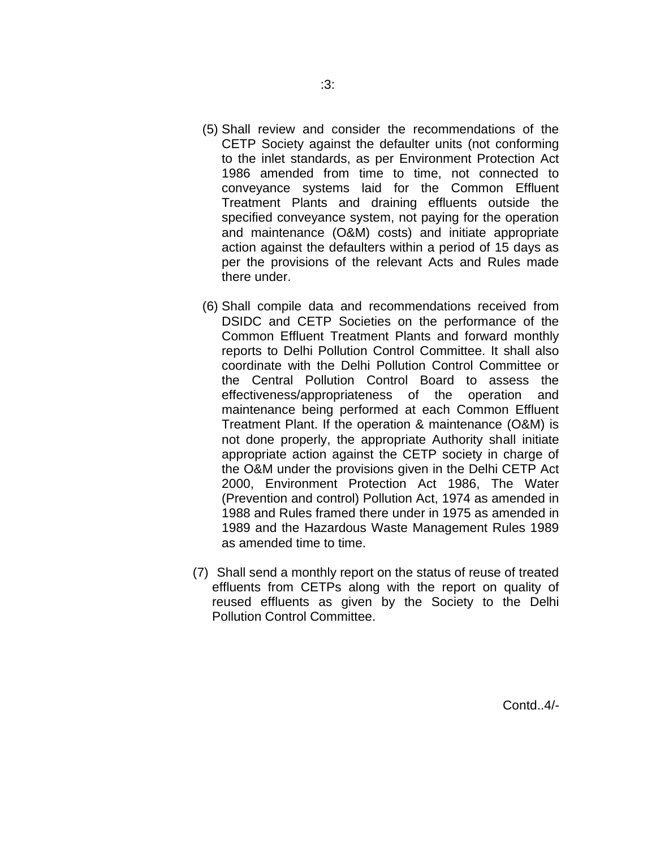- (5) Shall review and consider the recommendations of the CETP Society against the defaulter units (not conforming to the inlet standards, as per Environment Protection Act 1986 amended from time to time, not connected to conveyance systems laid for the Common Effluent Treatment Plants and draining effluents outside the specified conveyance system, not paying for the operation and maintenance (O&M) costs) and initiate appropriate action against the defaulters within a period of 15 days as per the provisions of the relevant Acts and Rules made there under.
- (6) Shall compile data and recommendations received from DSIDC and CETP Societies on the performance of the Common Effluent Treatment Plants and forward monthly reports to Delhi Pollution Control Committee. It shall also coordinate with the Delhi Pollution Control Committee or the Central Pollution Control Board to assess the effectiveness/appropriateness of the operation and maintenance being performed at each Common Effluent Treatment Plant. If the operation & maintenance (O&M) is not done properly, the appropriate Authority shall initiate appropriate action against the CETP society in charge of the O&M under the provisions given in the Delhi CETP Act 2000, Environment Protection Act 1986, The Water (Prevention and control) Pollution Act, 1974 as amended in 1988 and Rules framed there under in 1975 as amended in 1989 and the Hazardous Waste Management Rules 1989 as amended time to time.
- (7) Shall send a monthly report on the status of reuse of treated effluents from CETPs along with the report on quality of reused effluents as given by the Society to the Delhi Pollution Control Committee.

Contd..4/-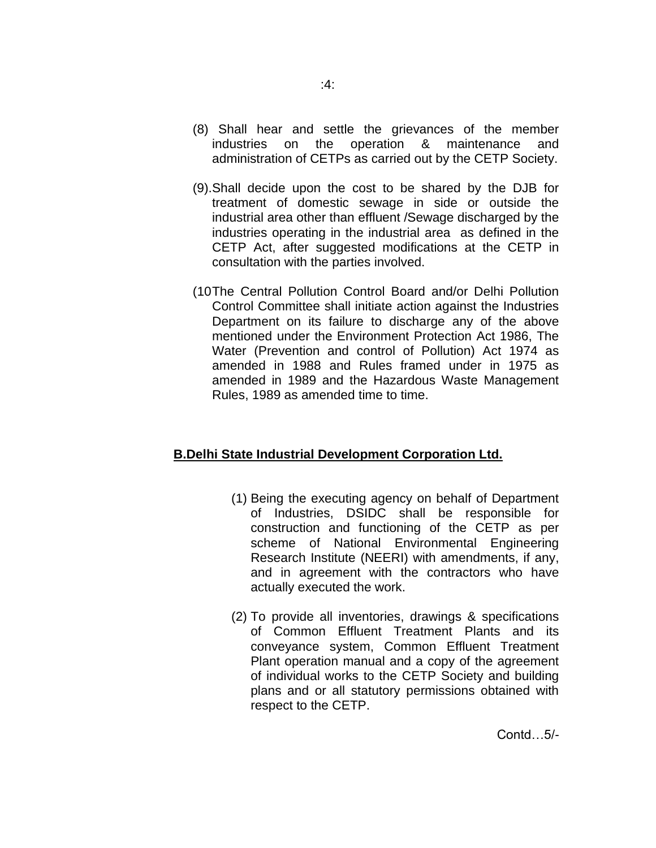- (8) Shall hear and settle the grievances of the member industries on the operation & maintenance and administration of CETPs as carried out by the CETP Society.
- (9).Shall decide upon the cost to be shared by the DJB for treatment of domestic sewage in side or outside the industrial area other than effluent /Sewage discharged by the industries operating in the industrial area as defined in the CETP Act, after suggested modifications at the CETP in consultation with the parties involved.
- (10The Central Pollution Control Board and/or Delhi Pollution Control Committee shall initiate action against the Industries Department on its failure to discharge any of the above mentioned under the Environment Protection Act 1986, The Water (Prevention and control of Pollution) Act 1974 as amended in 1988 and Rules framed under in 1975 as amended in 1989 and the Hazardous Waste Management Rules, 1989 as amended time to time.

#### **B.Delhi State Industrial Development Corporation Ltd.**

- (1) Being the executing agency on behalf of Department of Industries, DSIDC shall be responsible for construction and functioning of the CETP as per scheme of National Environmental Engineering Research Institute (NEERI) with amendments, if any, and in agreement with the contractors who have actually executed the work.
- (2) To provide all inventories, drawings & specifications of Common Effluent Treatment Plants and its conveyance system, Common Effluent Treatment Plant operation manual and a copy of the agreement of individual works to the CETP Society and building plans and or all statutory permissions obtained with respect to the CETP.

Contd…5/-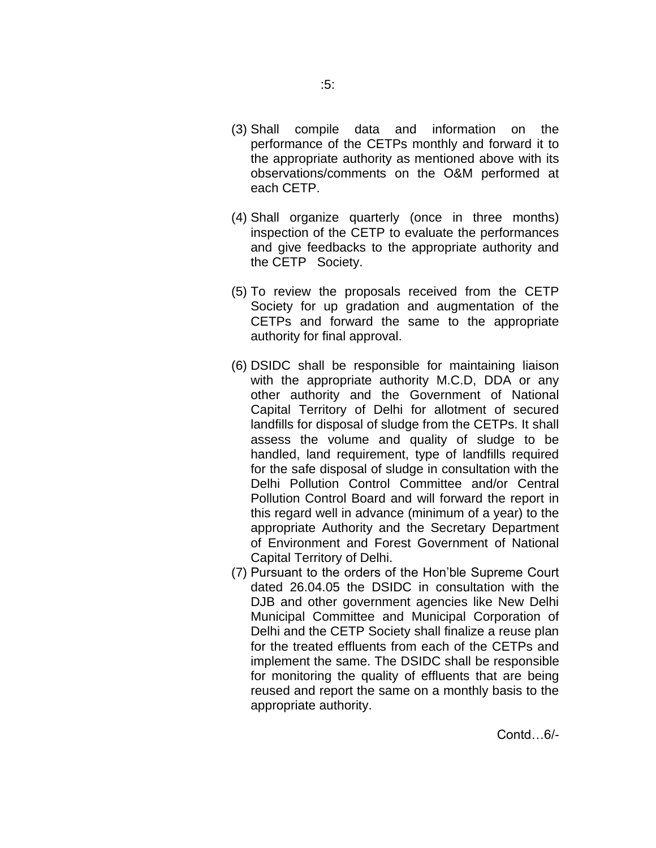- performance of the CETPs monthly and forward it to the appropriate authority as mentioned above with its observations/comments on the O&M performed at each CETP.
- (4) Shall organize quarterly (once in three months) inspection of the CETP to evaluate the performances and give feedbacks to the appropriate authority and the CETP Society.
- (5) To review the proposals received from the CETP Society for up gradation and augmentation of the CETPs and forward the same to the appropriate authority for final approval.
- (6) DSIDC shall be responsible for maintaining liaison with the appropriate authority M.C.D, DDA or any other authority and the Government of National Capital Territory of Delhi for allotment of secured landfills for disposal of sludge from the CETPs. It shall assess the volume and quality of sludge to be handled, land requirement, type of landfills required for the safe disposal of sludge in consultation with the Delhi Pollution Control Committee and/or Central Pollution Control Board and will forward the report in this regard well in advance (minimum of a year) to the appropriate Authority and the Secretary Department of Environment and Forest Government of National Capital Territory of Delhi.
- (7) Pursuant to the orders of the Hon'ble Supreme Court dated 26.04.05 the DSIDC in consultation with the DJB and other government agencies like New Delhi Municipal Committee and Municipal Corporation of Delhi and the CETP Society shall finalize a reuse plan for the treated effluents from each of the CETPs and implement the same. The DSIDC shall be responsible for monitoring the quality of effluents that are being reused and report the same on a monthly basis to the appropriate authority.

Contd…6/-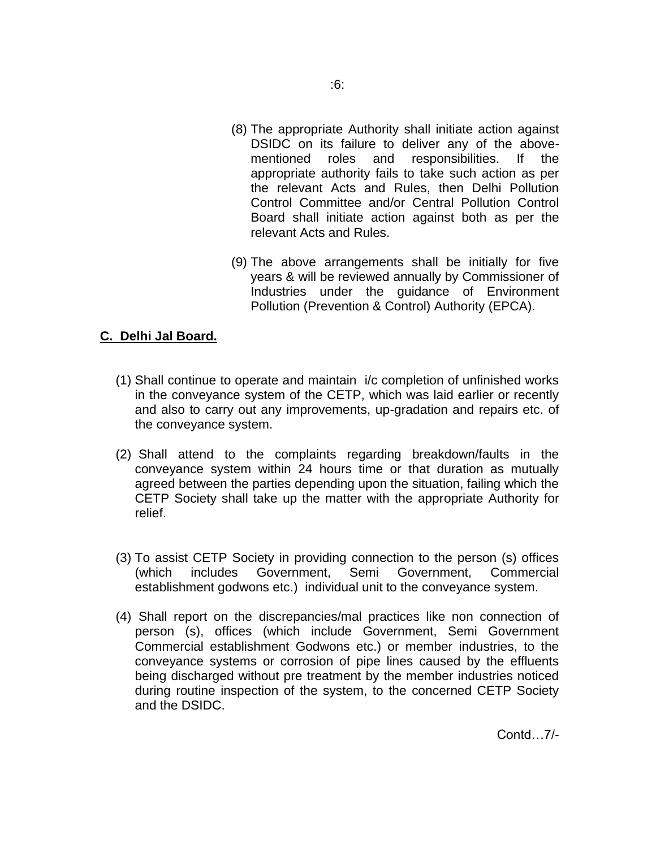- (8) The appropriate Authority shall initiate action against DSIDC on its failure to deliver any of the abovementioned roles and responsibilities. If the appropriate authority fails to take such action as per the relevant Acts and Rules, then Delhi Pollution Control Committee and/or Central Pollution Control Board shall initiate action against both as per the relevant Acts and Rules.
- (9) The above arrangements shall be initially for five years & will be reviewed annually by Commissioner of Industries under the guidance of Environment Pollution (Prevention & Control) Authority (EPCA).

#### **C. Delhi Jal Board.**

- (1) Shall continue to operate and maintain i/c completion of unfinished works in the conveyance system of the CETP, which was laid earlier or recently and also to carry out any improvements, up-gradation and repairs etc. of the conveyance system.
- (2) Shall attend to the complaints regarding breakdown/faults in the conveyance system within 24 hours time or that duration as mutually agreed between the parties depending upon the situation, failing which the CETP Society shall take up the matter with the appropriate Authority for relief.
- (3) To assist CETP Society in providing connection to the person (s) offices (which includes Government, Semi Government, Commercial establishment godwons etc.) individual unit to the conveyance system.
- (4) Shall report on the discrepancies/mal practices like non connection of person (s), offices (which include Government, Semi Government Commercial establishment Godwons etc.) or member industries, to the conveyance systems or corrosion of pipe lines caused by the effluents being discharged without pre treatment by the member industries noticed during routine inspection of the system, to the concerned CETP Society and the DSIDC.

Contd…7/-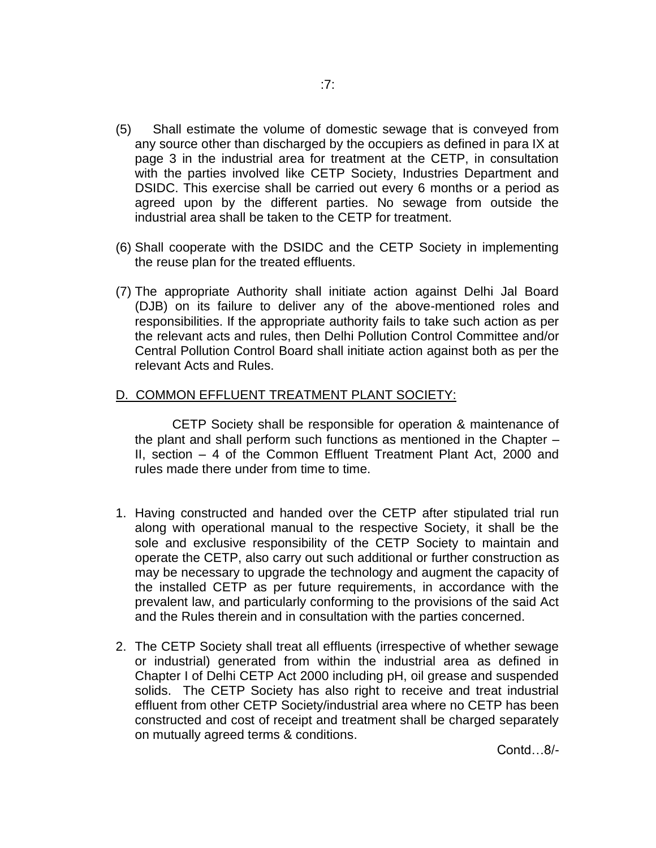- (5) Shall estimate the volume of domestic sewage that is conveyed from any source other than discharged by the occupiers as defined in para IX at page 3 in the industrial area for treatment at the CETP, in consultation with the parties involved like CETP Society, Industries Department and DSIDC. This exercise shall be carried out every 6 months or a period as agreed upon by the different parties. No sewage from outside the industrial area shall be taken to the CETP for treatment.
- (6) Shall cooperate with the DSIDC and the CETP Society in implementing the reuse plan for the treated effluents.
- (7) The appropriate Authority shall initiate action against Delhi Jal Board (DJB) on its failure to deliver any of the above-mentioned roles and responsibilities. If the appropriate authority fails to take such action as per the relevant acts and rules, then Delhi Pollution Control Committee and/or Central Pollution Control Board shall initiate action against both as per the relevant Acts and Rules.

#### D. COMMON EFFLUENT TREATMENT PLANT SOCIETY:

 CETP Society shall be responsible for operation & maintenance of the plant and shall perform such functions as mentioned in the Chapter – II, section – 4 of the Common Effluent Treatment Plant Act, 2000 and rules made there under from time to time.

- 1. Having constructed and handed over the CETP after stipulated trial run along with operational manual to the respective Society, it shall be the sole and exclusive responsibility of the CETP Society to maintain and operate the CETP, also carry out such additional or further construction as may be necessary to upgrade the technology and augment the capacity of the installed CETP as per future requirements, in accordance with the prevalent law, and particularly conforming to the provisions of the said Act and the Rules therein and in consultation with the parties concerned.
- 2. The CETP Society shall treat all effluents (irrespective of whether sewage or industrial) generated from within the industrial area as defined in Chapter I of Delhi CETP Act 2000 including pH, oil grease and suspended solids. The CETP Society has also right to receive and treat industrial effluent from other CETP Society/industrial area where no CETP has been constructed and cost of receipt and treatment shall be charged separately on mutually agreed terms & conditions.

Contd…8/-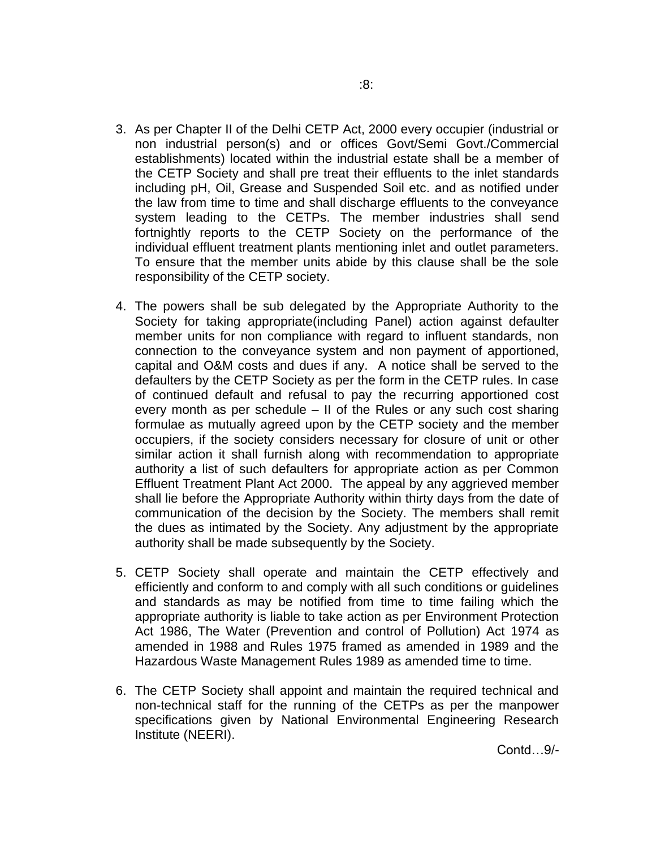- 3. As per Chapter II of the Delhi CETP Act, 2000 every occupier (industrial or non industrial person(s) and or offices Govt/Semi Govt./Commercial establishments) located within the industrial estate shall be a member of the CETP Society and shall pre treat their effluents to the inlet standards including pH, Oil, Grease and Suspended Soil etc. and as notified under the law from time to time and shall discharge effluents to the conveyance system leading to the CETPs. The member industries shall send fortnightly reports to the CETP Society on the performance of the individual effluent treatment plants mentioning inlet and outlet parameters. To ensure that the member units abide by this clause shall be the sole responsibility of the CETP society.
- 4. The powers shall be sub delegated by the Appropriate Authority to the Society for taking appropriate(including Panel) action against defaulter member units for non compliance with regard to influent standards, non connection to the conveyance system and non payment of apportioned, capital and O&M costs and dues if any. A notice shall be served to the defaulters by the CETP Society as per the form in the CETP rules. In case of continued default and refusal to pay the recurring apportioned cost every month as per schedule – II of the Rules or any such cost sharing formulae as mutually agreed upon by the CETP society and the member occupiers, if the society considers necessary for closure of unit or other similar action it shall furnish along with recommendation to appropriate authority a list of such defaulters for appropriate action as per Common Effluent Treatment Plant Act 2000. The appeal by any aggrieved member shall lie before the Appropriate Authority within thirty days from the date of communication of the decision by the Society. The members shall remit the dues as intimated by the Society. Any adjustment by the appropriate authority shall be made subsequently by the Society.
- 5. CETP Society shall operate and maintain the CETP effectively and efficiently and conform to and comply with all such conditions or guidelines and standards as may be notified from time to time failing which the appropriate authority is liable to take action as per Environment Protection Act 1986, The Water (Prevention and control of Pollution) Act 1974 as amended in 1988 and Rules 1975 framed as amended in 1989 and the Hazardous Waste Management Rules 1989 as amended time to time.
- 6. The CETP Society shall appoint and maintain the required technical and non-technical staff for the running of the CETPs as per the manpower specifications given by National Environmental Engineering Research Institute (NEERI).

Contd…9/-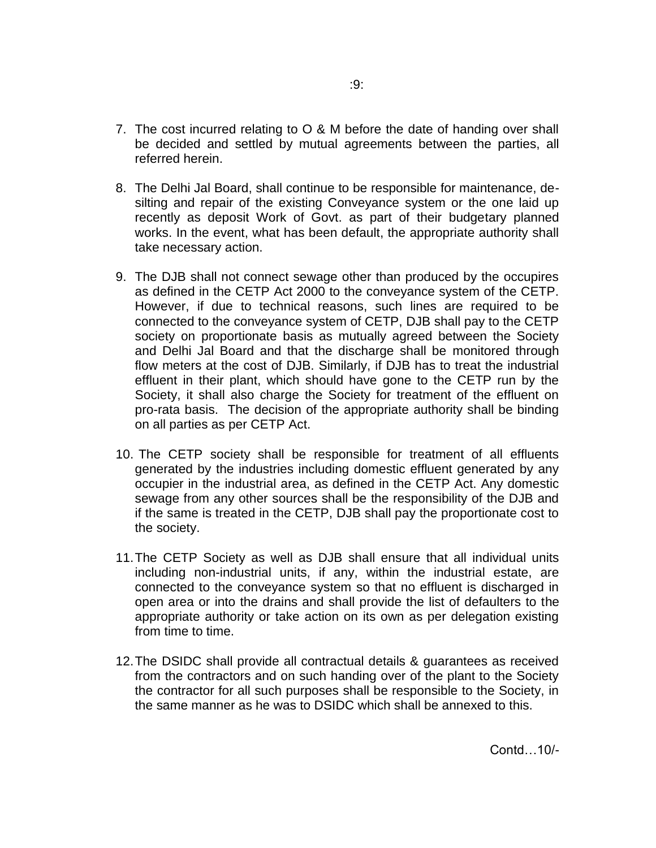- 7. The cost incurred relating to O & M before the date of handing over shall be decided and settled by mutual agreements between the parties, all referred herein.
- 8. The Delhi Jal Board, shall continue to be responsible for maintenance, desilting and repair of the existing Conveyance system or the one laid up recently as deposit Work of Govt. as part of their budgetary planned works. In the event, what has been default, the appropriate authority shall take necessary action.
- 9. The DJB shall not connect sewage other than produced by the occupires as defined in the CETP Act 2000 to the conveyance system of the CETP. However, if due to technical reasons, such lines are required to be connected to the conveyance system of CETP, DJB shall pay to the CETP society on proportionate basis as mutually agreed between the Society and Delhi Jal Board and that the discharge shall be monitored through flow meters at the cost of DJB. Similarly, if DJB has to treat the industrial effluent in their plant, which should have gone to the CETP run by the Society, it shall also charge the Society for treatment of the effluent on pro-rata basis. The decision of the appropriate authority shall be binding on all parties as per CETP Act.
- 10. The CETP society shall be responsible for treatment of all effluents generated by the industries including domestic effluent generated by any occupier in the industrial area, as defined in the CETP Act. Any domestic sewage from any other sources shall be the responsibility of the DJB and if the same is treated in the CETP, DJB shall pay the proportionate cost to the society.
- 11.The CETP Society as well as DJB shall ensure that all individual units including non-industrial units, if any, within the industrial estate, are connected to the conveyance system so that no effluent is discharged in open area or into the drains and shall provide the list of defaulters to the appropriate authority or take action on its own as per delegation existing from time to time.
- 12.The DSIDC shall provide all contractual details & guarantees as received from the contractors and on such handing over of the plant to the Society the contractor for all such purposes shall be responsible to the Society, in the same manner as he was to DSIDC which shall be annexed to this.

Contd…10/-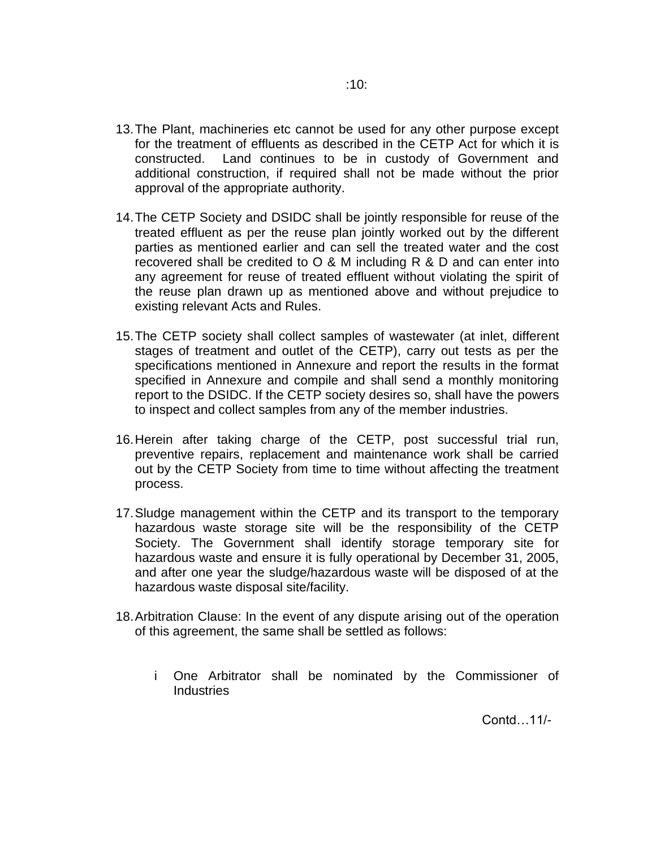- 13.The Plant, machineries etc cannot be used for any other purpose except for the treatment of effluents as described in the CETP Act for which it is constructed. Land continues to be in custody of Government and additional construction, if required shall not be made without the prior approval of the appropriate authority.
- 14.The CETP Society and DSIDC shall be jointly responsible for reuse of the treated effluent as per the reuse plan jointly worked out by the different parties as mentioned earlier and can sell the treated water and the cost recovered shall be credited to  $\overline{O}$  & M including R & D and can enter into any agreement for reuse of treated effluent without violating the spirit of the reuse plan drawn up as mentioned above and without prejudice to existing relevant Acts and Rules.
- 15.The CETP society shall collect samples of wastewater (at inlet, different stages of treatment and outlet of the CETP), carry out tests as per the specifications mentioned in Annexure and report the results in the format specified in Annexure and compile and shall send a monthly monitoring report to the DSIDC. If the CETP society desires so, shall have the powers to inspect and collect samples from any of the member industries.
- 16.Herein after taking charge of the CETP, post successful trial run, preventive repairs, replacement and maintenance work shall be carried out by the CETP Society from time to time without affecting the treatment process.
- 17.Sludge management within the CETP and its transport to the temporary hazardous waste storage site will be the responsibility of the CETP Society. The Government shall identify storage temporary site for hazardous waste and ensure it is fully operational by December 31, 2005, and after one year the sludge/hazardous waste will be disposed of at the hazardous waste disposal site/facility.
- 18.Arbitration Clause: In the event of any dispute arising out of the operation of this agreement, the same shall be settled as follows:
	- i One Arbitrator shall be nominated by the Commissioner of **Industries**

Contd…11/-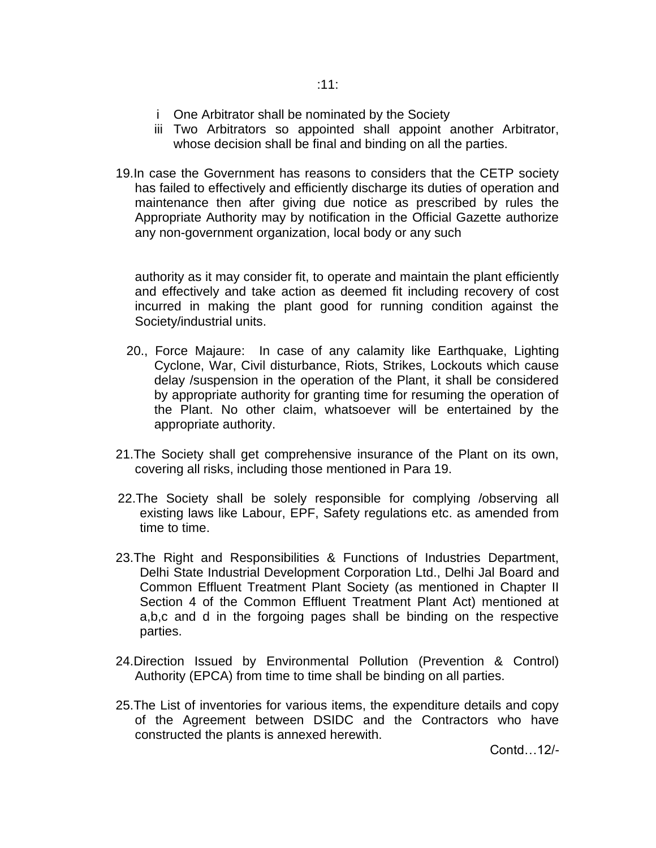- i One Arbitrator shall be nominated by the Society
- iii Two Arbitrators so appointed shall appoint another Arbitrator, whose decision shall be final and binding on all the parties.
- 19.In case the Government has reasons to considers that the CETP society has failed to effectively and efficiently discharge its duties of operation and maintenance then after giving due notice as prescribed by rules the Appropriate Authority may by notification in the Official Gazette authorize any non-government organization, local body or any such

authority as it may consider fit, to operate and maintain the plant efficiently and effectively and take action as deemed fit including recovery of cost incurred in making the plant good for running condition against the Society/industrial units.

- 20., Force Majaure: In case of any calamity like Earthquake, Lighting Cyclone, War, Civil disturbance, Riots, Strikes, Lockouts which cause delay /suspension in the operation of the Plant, it shall be considered by appropriate authority for granting time for resuming the operation of the Plant. No other claim, whatsoever will be entertained by the appropriate authority.
- 21.The Society shall get comprehensive insurance of the Plant on its own, covering all risks, including those mentioned in Para 19.
- 22.The Society shall be solely responsible for complying /observing all existing laws like Labour, EPF, Safety regulations etc. as amended from time to time.
- 23.The Right and Responsibilities & Functions of Industries Department, Delhi State Industrial Development Corporation Ltd., Delhi Jal Board and Common Effluent Treatment Plant Society (as mentioned in Chapter II Section 4 of the Common Effluent Treatment Plant Act) mentioned at a,b,c and d in the forgoing pages shall be binding on the respective parties.
- 24.Direction Issued by Environmental Pollution (Prevention & Control) Authority (EPCA) from time to time shall be binding on all parties.
- 25.The List of inventories for various items, the expenditure details and copy of the Agreement between DSIDC and the Contractors who have constructed the plants is annexed herewith.

Contd…12/-